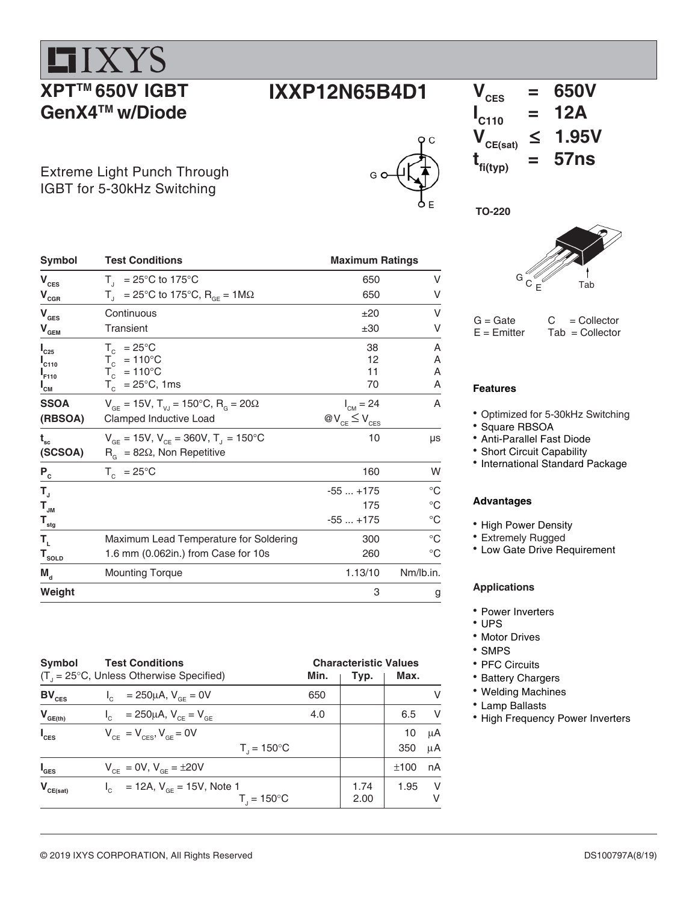











 $G =$  Gate  $C =$  Collector<br>  $E =$  Emitter Tab = Collector  $Tab = Collector$ 

#### **Features**

- Optimized for 5-30kHz Switching
- Square RBSOA
- Anti-Parallel Fast Diode
- Short Circuit Capability
- International Standard Package

#### **Advantages**

- High Power Density
- Extremely Rugged
- Low Gate Drive Requirement

#### **Applications**

- Power Inverters
- UPS
- Motor Drives
- SMPS
- PFC Circuits
- Battery Chargers
- Welding Machines
- Lamp Ballasts
- High Frequency Power Inverters

| $\mathbf{V}_{\mathrm{CES}}$           | $T_{\text{I}}$ = 25°C to 175°C                                                    | 650                    | ٧           |
|---------------------------------------|-----------------------------------------------------------------------------------|------------------------|-------------|
| $\mathbf{V}_{\texttt{CGR}}$           | $T_{\text{I}}$ = 25°C to 175°C, R <sub>GE</sub> = 1M $\Omega$                     | 650                    | V           |
| $\mathbf{V}_{\texttt{GES}}$           | Continuous                                                                        | ±20                    | V           |
| $\mathbf{V}_{\mathbf{GEM}}$           | Transient                                                                         | ±30                    | V           |
| $I_{C25}$                             | $T_c$ = 25°C                                                                      | 38                     | Α           |
| $I_{C110}$                            |                                                                                   | 12                     | Α           |
| $I_{F110}$                            | $T_c$ = 110°C<br>$T_c$ = 110°C                                                    | 11                     | A           |
| $I_{\texttt{CM}}$                     | $T_c^{\circ}$ = 25°C, 1ms                                                         | 70                     | A           |
| <b>SSOA</b>                           | $V_{\text{CF}} = 15V$ , $T_{\text{V}} = 150^{\circ}C$ , $R_{\text{C}} = 20\Omega$ | $I_{CM} = 24$          | A           |
| (RBSOA)                               | Clamped Inductive Load                                                            | $@V_{CE} \leq V_{CES}$ |             |
| $t_{\rm sc}$                          | $V_{GF}$ = 15V, $V_{CF}$ = 360V, T <sub>J</sub> = 150°C                           | 10                     | μs          |
| (SCSOA)                               | $R_{\alpha}$ = 82 $\Omega$ , Non Repetitive                                       |                        |             |
| $\mathsf{P}_{\mathrm{c}}$             | $T_c = 25^{\circ}C$                                                               | 160                    | W           |
| $T_{\rm J}$                           |                                                                                   | $-55+175$              | $^{\circ}C$ |
| $\mathbf{T}_{\mathsf{JM}}$            |                                                                                   | 175                    | $^{\circ}C$ |
| $\mathbf{T}_{\underline{\text{stg}}}$ |                                                                                   | $-55+175$              | $^{\circ}C$ |
| T,                                    | Maximum Lead Temperature for Soldering                                            | 300                    | $^{\circ}C$ |
| $T_{\text{sOLD}}$                     | 1.6 mm (0.062in.) from Case for 10s                                               | 260                    | $^{\circ}C$ |
| $M_{\rm d}$                           | <b>Mounting Torque</b>                                                            | 1.13/10                | Nm/lb.in.   |
| Weight                                |                                                                                   | 3                      | g           |
|                                       |                                                                                   |                        |             |

Symbol Test Conditions **Maximum Ratings** 

| Symbol<br><b>Test Conditions</b><br>$(T_{1} = 25^{\circ}C,$ Unless Otherwise Specified)<br>Min. |                                                               |     | <b>Characteristic Values</b><br>Typ. | Max.      |          |  |
|-------------------------------------------------------------------------------------------------|---------------------------------------------------------------|-----|--------------------------------------|-----------|----------|--|
| $BV_{CES}$                                                                                      | $I_c = 250 \mu A$ , $V_{cE} = 0V$                             | 650 |                                      |           | V        |  |
| $V_{GE(th)}$                                                                                    | = 250µA, $V_{CE} = V_{GE}$                                    | 4.0 |                                      | 6.5       | V        |  |
| $I_{\text{CES}}$                                                                                | $V_{CF} = V_{CFS}$ , $V_{GF} = 0V$<br>$T_{1} = 150^{\circ}C$  |     |                                      | 10<br>350 | μA<br>μA |  |
| $I_{\texttt{GES}}$                                                                              | $V_{CF} = 0V$ , $V_{GF} = \pm 20V$                            |     |                                      | ±100      | nA       |  |
| $V_{CE(sat)}$                                                                                   | $I_c$ = 12A, $V_{cF}$ = 15V, Note 1<br>$T_{1} = 150^{\circ}C$ |     | 1.74<br>2.00                         | 1.95      | - V<br>V |  |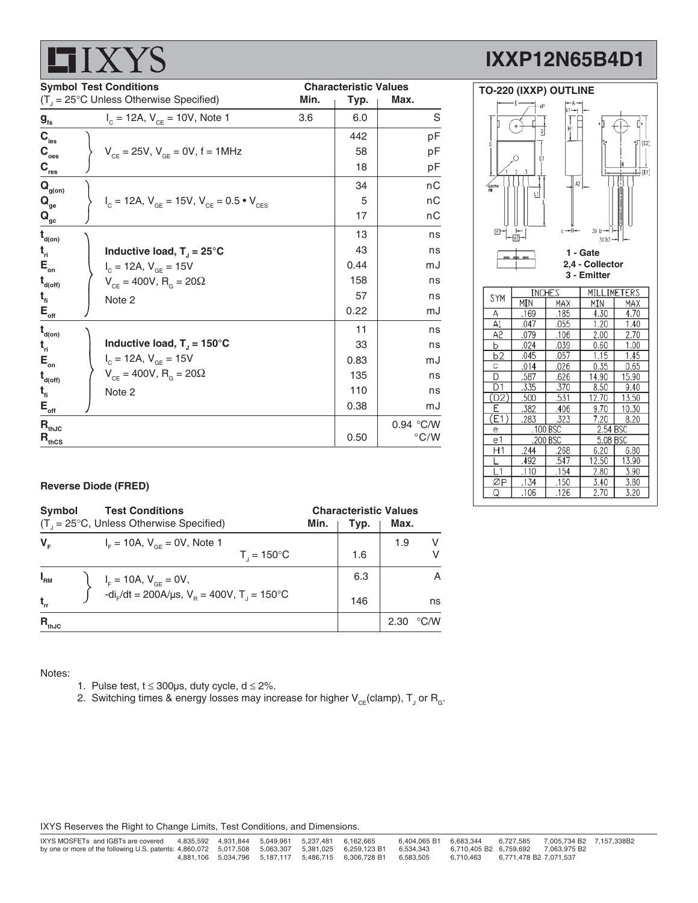|                                         |  | LAN LU                                                                                    |                              |      |               |
|-----------------------------------------|--|-------------------------------------------------------------------------------------------|------------------------------|------|---------------|
| <b>Symbol Test Conditions</b>           |  |                                                                                           | <b>Characteristic Values</b> |      |               |
|                                         |  | $(T_{\text{I}} = 25^{\circ} \text{C}$ Unless Otherwise Specified)                         | Min.                         | Typ. | Max.          |
| $\boldsymbol{\mathsf{g}}_{\mathsf{fs}}$ |  | $I_c = 12A$ , $V_{CF} = 10V$ , Note 1                                                     | 3.6                          | 6.0  | S             |
| $C_{\text{les}}$                        |  |                                                                                           |                              | 442  | pF            |
| $\mathbf{C}_{_{\mathrm{oes}}}$          |  | $V_{CF} = 25V$ , $V_{GF} = 0V$ , f = 1MHz                                                 |                              | 58   | pF            |
| $C_{res}$                               |  |                                                                                           |                              | 18   | рF            |
| $\mathbf{Q}_{\text{g(on)}}$             |  |                                                                                           |                              | 34   | пC            |
| $\mathbf{Q}_{\mathrm{ge}}$              |  | $V_{\text{c}} = 12A$ , $V_{\text{GE}} = 15V$ , $V_{\text{CE}} = 0.5 \cdot V_{\text{CES}}$ |                              | 5    | пC            |
| $\mathbf{Q}_{\mathsf{gc}}$              |  |                                                                                           |                              | 17   | nС            |
| $\mathbf{t}_{\mathsf{d}(\mathsf{on})}$  |  |                                                                                           |                              | 13   | ns            |
| $t_{ri}$                                |  | Inductive load, $T_1 = 25^{\circ}C$                                                       |                              | 43   | ns            |
| $\mathsf{E}_{_{\sf on}}$                |  | $I_c = 12A, V_{GE} = 15V$                                                                 |                              | 0.44 | mJ            |
| $t_{\text{\tiny{d(off)}}}$              |  | $V_{CF} = 400V$ , R <sub>G</sub> = 20 $\Omega$                                            |                              | 158  | ns            |
| $t_{fi}$                                |  | Note 2                                                                                    |                              | 57   | ns            |
| $E_{_{\sf off}}$                        |  |                                                                                           |                              | 0.22 | mJ            |
| $\mathbf{t}_{\mathsf{d}(\mathsf{on})}$  |  |                                                                                           |                              | 11   | ns            |
| $t_{ri}$                                |  | Inductive load, $T_1 = 150^{\circ}$ C                                                     |                              | 33   | ns            |
| $E_{\rm on}$                            |  | $I_c = 12A, V_{GE} = 15V$                                                                 |                              | 0.83 | mJ            |
| $t_{\text{\tiny d(off)}}$               |  | $V_{CF} = 400V, R_{G} = 20\Omega$                                                         |                              | 135  | ns            |
| $t_{fi}$                                |  | Note 2                                                                                    |                              | 110  | ns            |
| $\mathsf{E}_{_{\sf off}}$               |  |                                                                                           |                              | 0.38 | mJ            |
| $\mathbf{R}_{\text{thJC}}$              |  |                                                                                           |                              |      | 0.94 °C/W     |
| $\mathbf{R}_{\text{thCS}}$              |  |                                                                                           |                              | 0.50 | $\degree$ C/W |

|                | <b>TO-220 (IXXP) OUTLINE</b> |       |                 |                                      |  |  |
|----------------|------------------------------|-------|-----------------|--------------------------------------|--|--|
|                |                              |       |                 |                                      |  |  |
|                | øP                           | la 1- |                 |                                      |  |  |
| П              |                              |       | ٠þ              | Π٠                                   |  |  |
|                | Q                            | H1    |                 |                                      |  |  |
| D              |                              |       |                 | (02)                                 |  |  |
|                | D1                           |       |                 |                                      |  |  |
|                |                              |       |                 |                                      |  |  |
|                | 3                            |       |                 | $\mathsf{\mathsf{H}}\,(\mathsf{E}1)$ |  |  |
| EECTOR         |                              | A2    |                 |                                      |  |  |
|                | L1                           |       |                 |                                      |  |  |
|                |                              |       |                 |                                      |  |  |
|                |                              |       |                 |                                      |  |  |
| 급              |                              | 41    | 3X b —          |                                      |  |  |
|                | $\overline{e}$ 1             |       | 3X b2-          |                                      |  |  |
|                |                              |       | 1 - Gate        |                                      |  |  |
|                | $\overline{a}$               |       | 2,4 - Collector |                                      |  |  |
|                |                              |       | 3 - Emitter     |                                      |  |  |
|                |                              |       |                 |                                      |  |  |
| SYM            | INCHES<br>MILLIMETERS        |       |                 |                                      |  |  |
|                | MIN                          | MAX   | MIN             | MAX                                  |  |  |
| А              | .169                         | 185   | 4.30            | 4.70                                 |  |  |
| A1             | .047                         | .055  | 1.20            | 1.40                                 |  |  |
| A <sub>2</sub> | .079                         | .106  | 2.00            | 2.70                                 |  |  |
| b              | .024                         | .039  | 0.60            | 1.00                                 |  |  |
| b2             | .045                         | .057  | 1.15            | 1.45                                 |  |  |
| С              | .014                         | .026  | 0.35            | 0.65                                 |  |  |
| Đ              | 587                          | .626  | 14.90           | 15.90                                |  |  |
| D <sub>1</sub> | 335                          | 370   | 8.50            | 9.40                                 |  |  |
| D <sub>2</sub> | 500                          | 531   | 12.70           | 13.50                                |  |  |
| E              | 382                          | 406   | 9.70            | 10.30                                |  |  |
| 1              | .283                         | .323  | 7.20            | 8.20                                 |  |  |
| е              | .100 BSC                     |       | 2.54 BSC        |                                      |  |  |
| e Ī            | 200 BSC                      |       | 5.08 BSC        |                                      |  |  |
| H1             | .244                         | 268   | 6.20            | 6.80                                 |  |  |
| ı              | .492                         | .547  | 12.50           | 13.90                                |  |  |
| L1             | .110                         | .154  | 2.80            | 3.90                                 |  |  |
| ØР             | 134                          | .150  | 3.40            | 3.80                                 |  |  |
|                | 106                          | 126   | 2.70            | 3.20                                 |  |  |

#### **Reverse Diode (FRED)**

**ITIXYS** 

| <b>Symbol</b> | <b>Test Conditions</b><br>$(T_{1} = 25^{\circ}C,$ Unless Otherwise Specified)                          | Min. | <b>Characteristic Values</b><br>Typ. | Max. |                    |
|---------------|--------------------------------------------------------------------------------------------------------|------|--------------------------------------|------|--------------------|
| $V_{E}$       | $I_{\rm F}$ = 10A, $V_{\rm GF}$ = 0V, Note 1<br>$T_{1} = 150^{\circ}C$                                 |      | 1.6                                  | 1.9  | V                  |
| $I_{\rm RM}$  | $I_F = 10A$ , $V_{GE} = 0V$ ,<br>-di <sub>r</sub> /dt = 200A/µs, $V_B = 400V$ , T <sub>J</sub> = 150°C |      | 6.3                                  |      | A                  |
|               |                                                                                                        |      | 146                                  |      | ns                 |
| $R_{thJC}$    |                                                                                                        |      |                                      | 2.30 | $\rm ^{\circ}$ C/W |

Notes:

- 1. Pulse test,  $t \le 300 \mu s$ , duty cycle,  $d \le 2\%$ .
- 2. Switching times & energy losses may increase for higher  $\mathsf{V}_{\mathsf{CE}}$ (clamp),  $\mathsf{T}_{\mathsf{J}}$  or  $\mathsf{R}_{\mathsf{G}}$ .

IXYS Reserves the Right to Change Limits, Test Conditions, and Dimensions.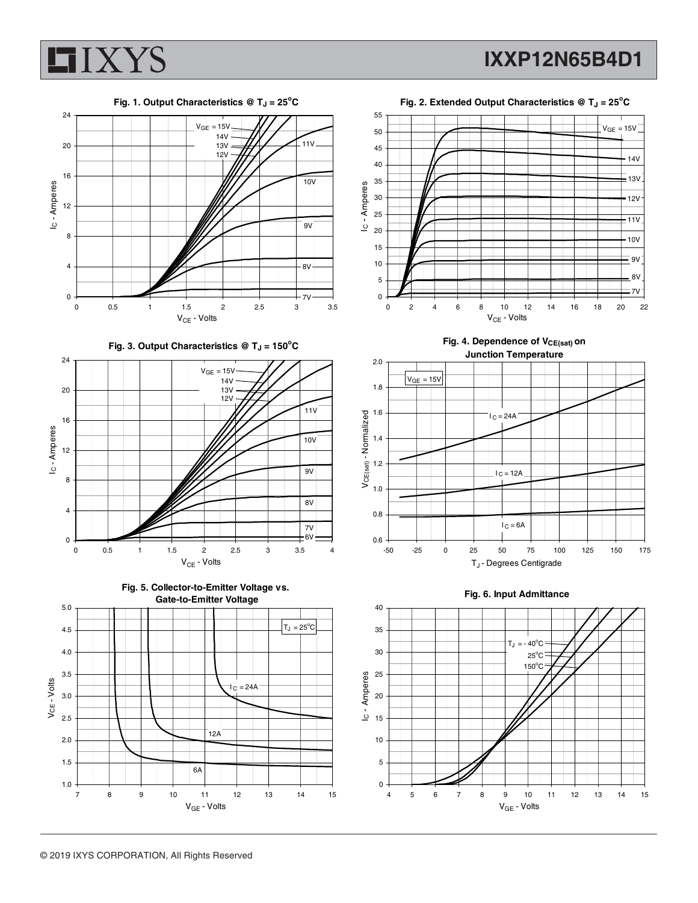

**IXXP12N65B4D1**

**Fig. 1. Output Characteristics @ TJ = 25<sup>o</sup> C**













Fig. 4. Dependence of V<sub>CE(sat)</sub> on



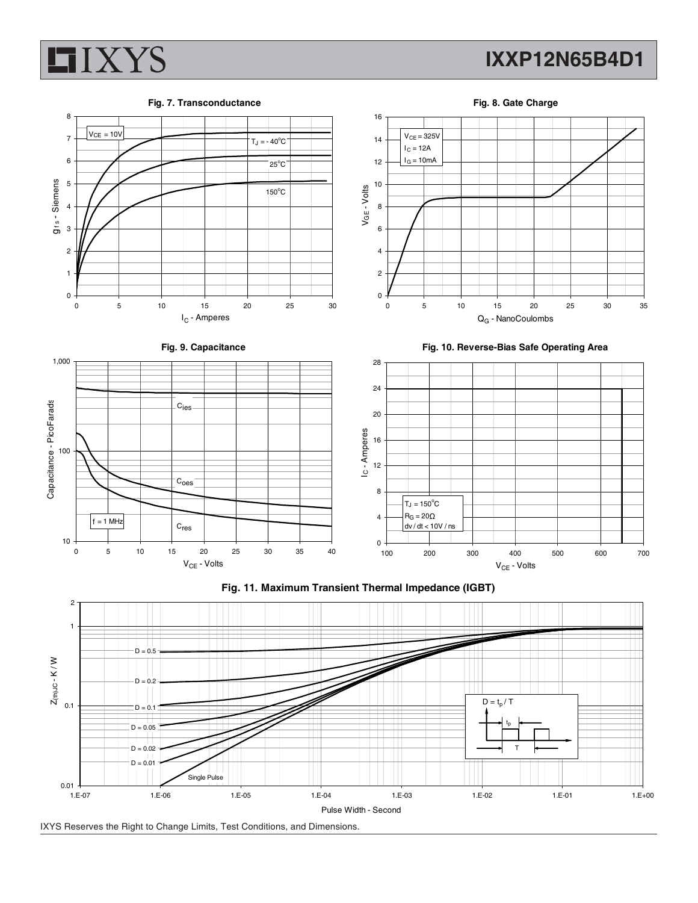

 $0.01 + 1.5 - 07$ 

### **IXXP12N65B4D1**

**Fig. 7. Transconductance**

**Fig. 8. Gate Charge**



1.E-07 1.E-06 1.E-05 1.E-04 1.E-03 1.E-02 1.E-01 1.E+00

Single Pulse

 $D = 0.01$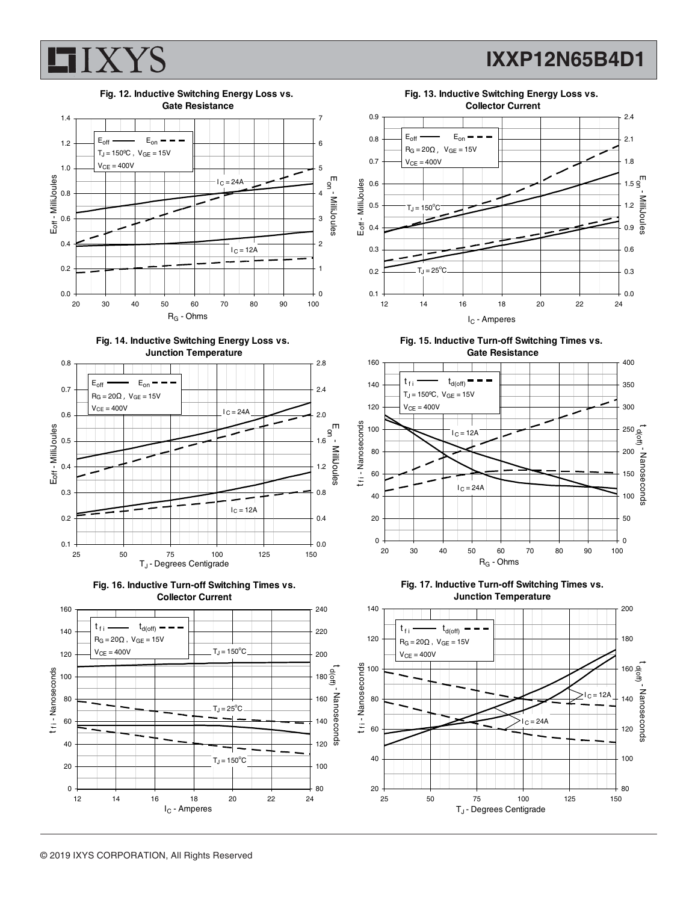



**Fig. 14. Inductive Switching Energy Loss vs. Junction Temperature**









**Fig. 15. Inductive Turn-off Switching Times vs. Gate Resistance**



**Fig. 17. Inductive Turn-off Switching Times vs. Junction Temperature**

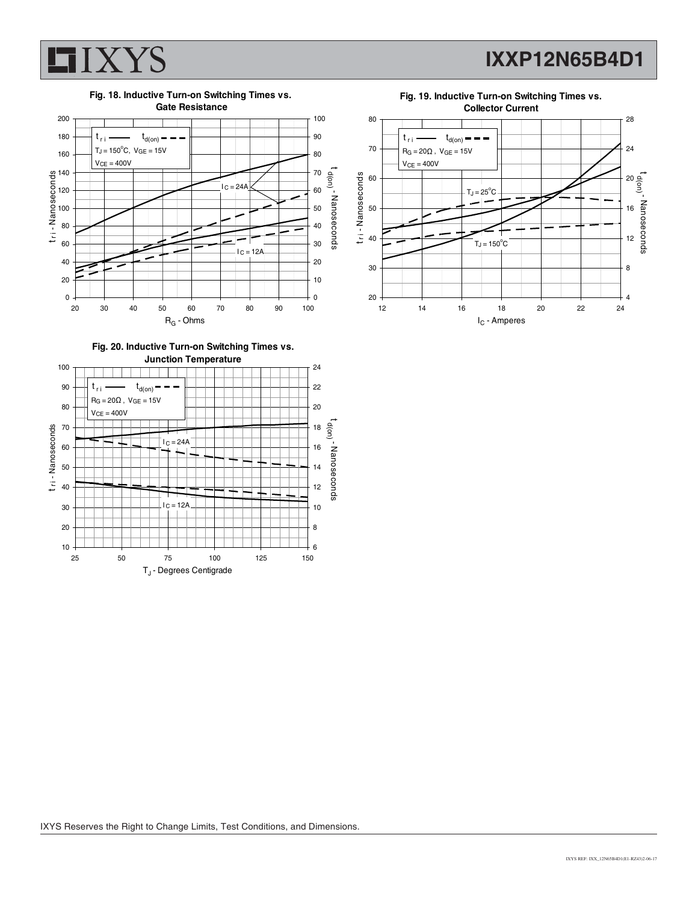

**IXXP12N65B4D1**



**Fig. 20. Inductive Turn-on Switching Times vs.**



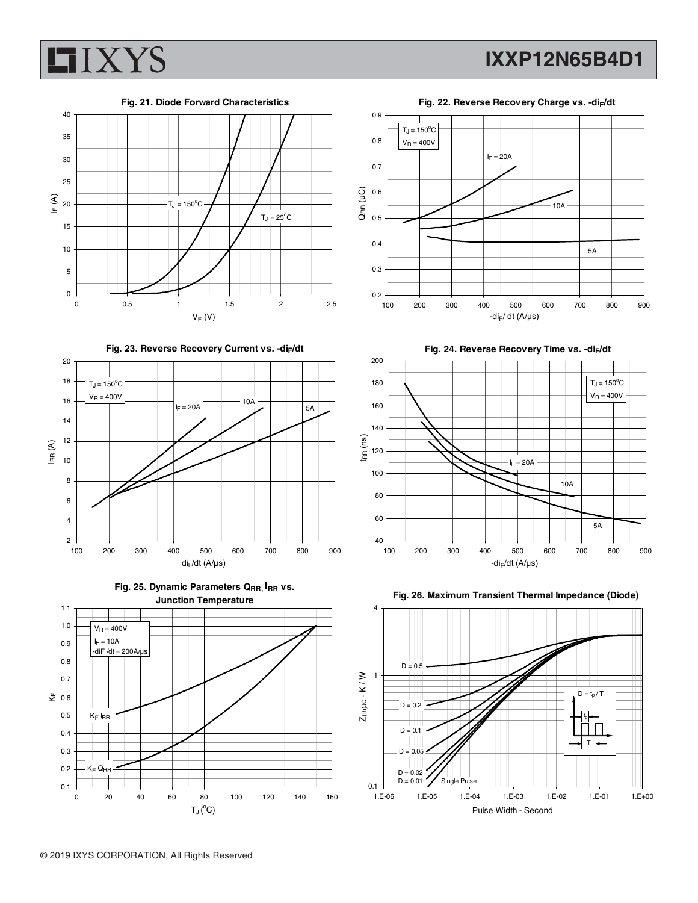



Fig. 23. Reverse Recovery Current vs. -di<sub>F</sub>/dt









Fig. 24. Reverse Recovery Time vs. -di<sub>F</sub>/dt